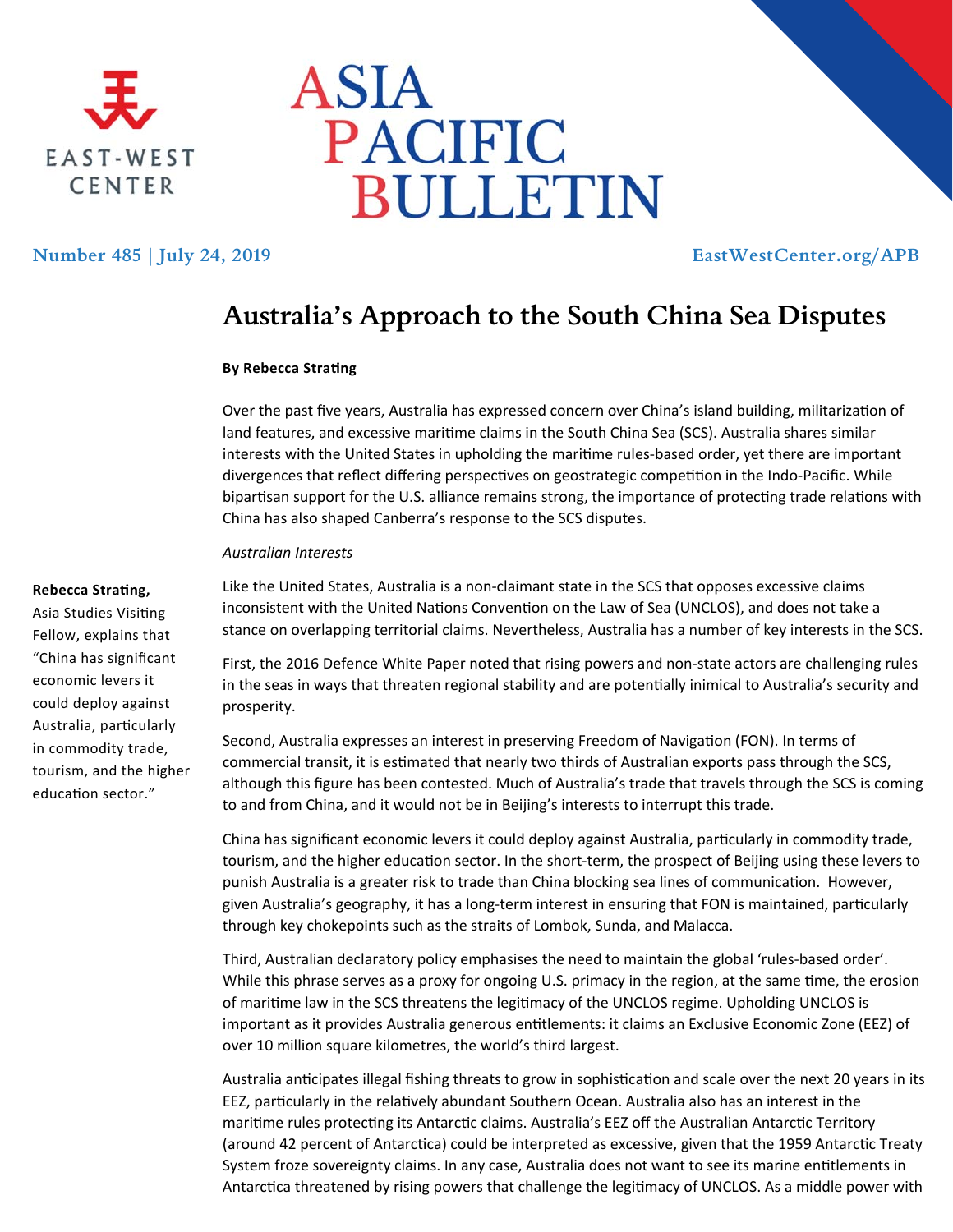



## **Number 485 | July 24, 2019 EastWestCenter.org/APB**

# **Australia's Approach to the South China Sea Disputes**

### **By Rebecca StraƟng**

Over the past five years, Australia has expressed concern over China's island building, militarization of land features, and excessive maritime claims in the South China Sea (SCS). Australia shares similar interests with the United States in upholding the maritime rules-based order, yet there are important divergences that reflect differing perspectives on geostrategic competition in the Indo-Pacific. While bipartisan support for the U.S. alliance remains strong, the importance of protecting trade relations with China has also shaped Canberra's response to the SCS disputes.

#### *Australian Interests*

#### **Rebecca StraƟng,**

Asia Studies Visiting Fellow, explains that "China has significant economic levers it could deploy against Australia, parƟcularly in commodity trade, tourism, and the higher education sector."

Like the United States, Australia is a non-claimant state in the SCS that opposes excessive claims inconsistent with the United Nations Convention on the Law of Sea (UNCLOS), and does not take a stance on overlapping territorial claims. Nevertheless, Australia has a number of key interests in the SCS.

First, the 2016 Defence White Paper noted that rising powers and non-state actors are challenging rules in the seas in ways that threaten regional stability and are potentially inimical to Australia's security and prosperity.

Second, Australia expresses an interest in preserving Freedom of Navigation (FON). In terms of commercial transit, it is estimated that nearly two thirds of Australian exports pass through the SCS, although this figure has been contested. Much of Australia's trade that travels through the SCS is coming to and from China, and it would not be in Beijing's interests to interrupt this trade.

China has significant economic levers it could deploy against Australia, particularly in commodity trade, tourism, and the higher education sector. In the short-term, the prospect of Beijing using these levers to punish Australia is a greater risk to trade than China blocking sea lines of communication. However, given Australia's geography, it has a long-term interest in ensuring that FON is maintained, particularly through key chokepoints such as the straits of Lombok, Sunda, and Malacca.

Third, Australian declaratory policy emphasises the need to maintain the global 'rules‐based order'. While this phrase serves as a proxy for ongoing U.S. primacy in the region, at the same time, the erosion of maritime law in the SCS threatens the legitimacy of the UNCLOS regime. Upholding UNCLOS is important as it provides Australia generous entitlements: it claims an Exclusive Economic Zone (EEZ) of over 10 million square kilometres, the world's third largest.

Australia anticipates illegal fishing threats to grow in sophistication and scale over the next 20 years in its EEZ, particularly in the relatively abundant Southern Ocean. Australia also has an interest in the maritime rules protecting its Antarctic claims. Australia's EEZ off the Australian Antarctic Territory (around 42 percent of Antarctica) could be interpreted as excessive, given that the 1959 Antarctic Treaty System froze sovereignty claims. In any case, Australia does not want to see its marine entitlements in Antarctica threatened by rising powers that challenge the legitimacy of UNCLOS. As a middle power with